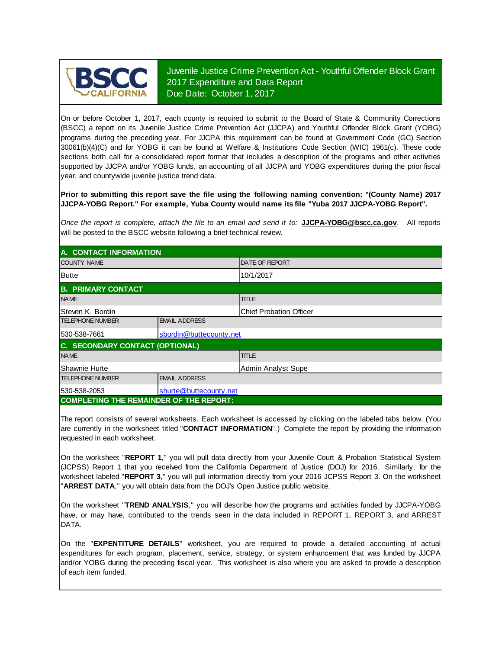

Juvenile Justice Crime Prevention Act - Youthful Offender Block Grant 2017 Expenditure and Data Report Due Date: October 1, 2017

On or before October 1, 2017, each county is required to submit to the Board of State & Community Corrections (BSCC) <sup>a</sup> report on its Juvenile Justice Crime Prevention Act (JJCPA) and Youthful Offender Block Grant (YOBG) programs during the preceding year. For JJCPA this requirement can be found at Government Code (GC) Section 30061(b)(4)(C) and for YOBG it can be found at Welfare & Institutions Code Section (WIC) 1961(c). These code sections both call for <sup>a</sup> consolidated report format that includes <sup>a</sup> description of the programs and other activities supported by JJCPA and/or YOBG funds, an accounting of all JJCPA and YOBG expenditures during the prior fiscal year, and countywide juvenile justice trend data.

**Prior to submitting this report save the file using the following naming convention: "(County Name) 2017 JJCPA-YOBG Report." For example, Yuba County would name its file "Yuba 2017 JJCPA-YOBG Report".**

*Once the report is complete, attach the file t o an email and send it to:* **JJCPA-YOBG@bscc.ca.gov**. All reports will be posted to the BSCC website following a brief technical review.

| A. CONTACT INFORMATION                         |                         |                                |  |
|------------------------------------------------|-------------------------|--------------------------------|--|
| <b>COUNTY NAME</b>                             |                         | <b>DATE OF REPORT</b>          |  |
| Butte                                          |                         | 10/1/2017                      |  |
| <b>B. PRIMARY CONTACT</b>                      |                         |                                |  |
| <b>NAME</b>                                    |                         | <b>TITLE</b>                   |  |
| <b>Steven K. Bordin</b>                        |                         | <b>Chief Probation Officer</b> |  |
| <b>TELEPHONE NUMBER</b>                        | <b>EMAIL ADDRESS</b>    |                                |  |
| 530-538-7661                                   | sbordin@buttecounty.net |                                |  |
| C. SECONDARY CONTACT (OPTIONAL)                |                         |                                |  |
| <b>NAME</b>                                    |                         | <b>TITLE</b>                   |  |
| Shawnie Hurte<br>Admin Analyst Supe            |                         |                                |  |
| <b>TELEPHONE NUMBER</b>                        | <b>EMAIL ADDRESS</b>    |                                |  |
| 530-538-2053                                   | shurte@buttecounty.net  |                                |  |
| <b>COMPLETING THE REMAINDER OF THE REPORT:</b> |                         |                                |  |

The report consists of several worksheets. Each worksheet is accessed by clicking on the labeled tabs below. (You are currently in the worksheet titled "**CONTACT INFORMATION**".) Complete the report by providing the information requested in each worksheet.

On the worksheet "REPORT 1," you will pull data directly from your Juvenile Court & Probation Statistical System (JCPSS) Report 1 that you received from the California Department of Justice (DOJ) for 2016. Similarly, for the worksheet labeled "REPORT 3," you will pull information directly from your 2016 JCPSS Report 3. On the worksheet "**ARREST DATA**," you will obtain data from the DOJ's Open Justice public website.

On the worksheet "**TREND ANALYSIS**, " you will describe how the programs and activities funded by JJCPA-YOBG have, or may have, contributed to the trends seen in the data included in REPORT 1, REPORT 3, and ARREST DATA.

On the "EXPENTITURE DETAILS" worksheet, you are required to provide a detailed accounting of actual expenditures for each program, placement, service, strategy, or system enhancement that was funded by JJCPA and/or YOBG during the preceding fiscal year. This worksheet is also where you are asked to provide a description of each item funded.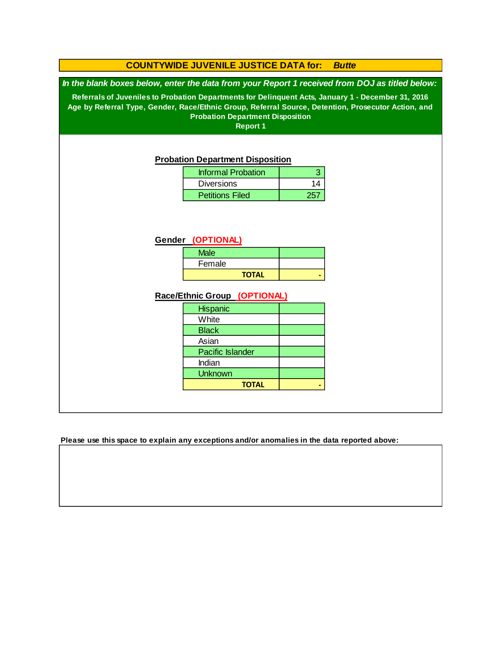### **COUNTYWIDE JUVENILE JUSTICE DATA for:** *Butte*

*In the blank boxes below, enter the data from your Report 1 received from DOJ as titled below:*

**Referrals of Juveniles to Probation Departments for Delinquent Acts, January 1 - December 31, 2016 Age by Referral Type, Gender, Race/Ethnic Group, Referral Source, Detention, Prosecutor Action, and Probation Department Disposition**

**Report 1**

#### **Probation Department Disposition**

| <b>Informal Probation</b> |    |
|---------------------------|----|
| <b>Diversions</b>         | 14 |
| <b>Petitions Filed</b>    |    |

### **Gender (OPTIONAL)**

| <b>Male</b>  |  |
|--------------|--|
| Female       |  |
| <b>TOTAL</b> |  |

### **Race/Ethnic Group (OPTIONAL)**

| <b>Hispanic</b>         |  |
|-------------------------|--|
| White                   |  |
| <b>Black</b>            |  |
| Asian                   |  |
| <b>Pacific Islander</b> |  |
| Indian                  |  |
| <b>Unknown</b>          |  |
| <b>TOTAL</b>            |  |

**Please use this space to explain any exceptions and/or anomalies in the data reported above:**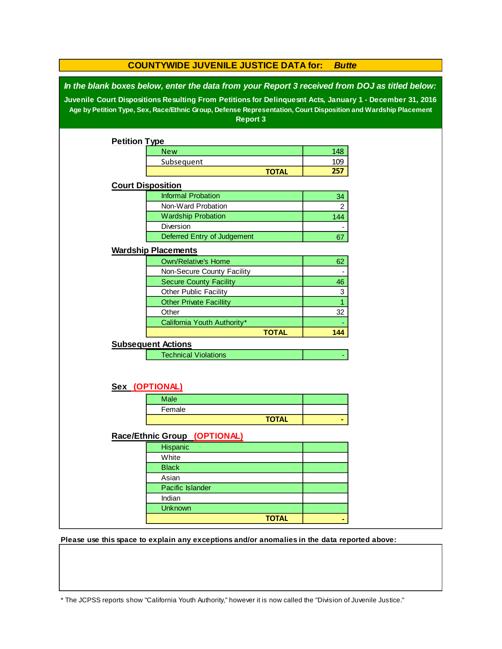| <b>COUNTYWIDE JUVENILE JUSTICE DATA for:</b><br><b>Butte</b> |                                                                                                                                                                                                            |              |                |  |
|--------------------------------------------------------------|------------------------------------------------------------------------------------------------------------------------------------------------------------------------------------------------------------|--------------|----------------|--|
|                                                              | In the blank boxes below, enter the data from your Report 3 received from DOJ as titled below:<br>Juvenile Court Dispositions Resulting From Petitions for Delinquesnt Acts, January 1 - December 31, 2016 |              |                |  |
|                                                              | Age by Petition Type, Sex, Race/Ethnic Group, Defense Representation, Court Disposition and Wardship Placement                                                                                             |              |                |  |
|                                                              | <b>Report 3</b>                                                                                                                                                                                            |              |                |  |
| <b>Petition Type</b>                                         |                                                                                                                                                                                                            |              |                |  |
|                                                              | <b>New</b>                                                                                                                                                                                                 |              | 148            |  |
|                                                              | Subsequent                                                                                                                                                                                                 |              | 109            |  |
|                                                              |                                                                                                                                                                                                            | <b>TOTAL</b> | 257            |  |
|                                                              | <b>Court Disposition</b>                                                                                                                                                                                   |              |                |  |
|                                                              | <b>Informal Probation</b>                                                                                                                                                                                  |              | 34             |  |
|                                                              | Non-Ward Probation                                                                                                                                                                                         |              | $\overline{2}$ |  |
|                                                              | <b>Wardship Probation</b>                                                                                                                                                                                  |              | 144            |  |
|                                                              | Diversion                                                                                                                                                                                                  |              |                |  |
|                                                              | Deferred Entry of Judgement                                                                                                                                                                                |              | 67             |  |
|                                                              | <b>Wardship Placements</b>                                                                                                                                                                                 |              |                |  |
|                                                              | <b>Own/Relative's Home</b>                                                                                                                                                                                 |              | 62             |  |
|                                                              | Non-Secure County Facility                                                                                                                                                                                 |              |                |  |
|                                                              | <b>Secure County Facility</b>                                                                                                                                                                              |              | 46             |  |
|                                                              | Other Public Facility                                                                                                                                                                                      |              | 3              |  |
|                                                              | <b>Other Private Facillity</b>                                                                                                                                                                             |              | 1              |  |
|                                                              | Other                                                                                                                                                                                                      |              | 32             |  |
|                                                              | California Youth Authority*                                                                                                                                                                                |              |                |  |
|                                                              |                                                                                                                                                                                                            | <b>TOTAL</b> | 144            |  |
|                                                              | <b>Subsequent Actions</b>                                                                                                                                                                                  |              |                |  |
|                                                              | <b>Technical Violations</b>                                                                                                                                                                                |              |                |  |
|                                                              |                                                                                                                                                                                                            |              |                |  |
|                                                              |                                                                                                                                                                                                            |              |                |  |
|                                                              | Sex (OPTIONAL)                                                                                                                                                                                             |              |                |  |
|                                                              | <b>Male</b>                                                                                                                                                                                                |              |                |  |
|                                                              | Female                                                                                                                                                                                                     |              |                |  |
|                                                              |                                                                                                                                                                                                            | <b>TOTAL</b> |                |  |
|                                                              | Race/Ethnic Group (OPTIONAL)                                                                                                                                                                               |              |                |  |
|                                                              | Hispanic                                                                                                                                                                                                   |              |                |  |
|                                                              | White                                                                                                                                                                                                      |              |                |  |
|                                                              | <b>Black</b>                                                                                                                                                                                               |              |                |  |
|                                                              | Asian                                                                                                                                                                                                      |              |                |  |
|                                                              | Pacific Islander                                                                                                                                                                                           |              |                |  |
|                                                              | Indian                                                                                                                                                                                                     |              |                |  |
|                                                              | <b>Unknown</b>                                                                                                                                                                                             |              |                |  |
|                                                              |                                                                                                                                                                                                            | <b>TOTAL</b> |                |  |
|                                                              |                                                                                                                                                                                                            |              |                |  |

**Please use this space to explain any exceptions and/or anomalies in the data reported above:** 

\* The JCPSS reports show "California Youth Authority," however it is now called the "Division of Juvenile Justice."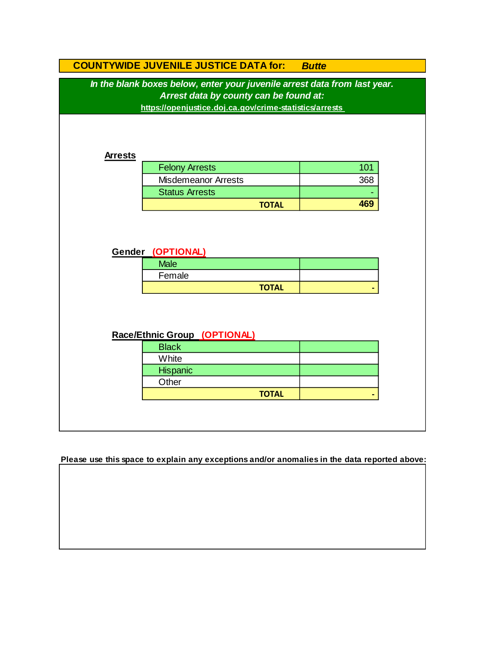|                                                                                                                                                                                | <b>COUNTYWIDE JUVENILE JUSTICE DATA for:</b> | <b>Butte</b> |  |  |
|--------------------------------------------------------------------------------------------------------------------------------------------------------------------------------|----------------------------------------------|--------------|--|--|
| In the blank boxes below, enter your juvenile arrest data from last year.<br>Arrest data by county can be found at:<br>https://openjustice.doj.ca.gov/crime-statistics/arrests |                                              |              |  |  |
| <b>Arrests</b>                                                                                                                                                                 |                                              |              |  |  |
|                                                                                                                                                                                | <b>Felony Arrests</b>                        | 101          |  |  |
|                                                                                                                                                                                | <b>Misdemeanor Arrests</b>                   | 368          |  |  |
|                                                                                                                                                                                | <b>Status Arrests</b>                        |              |  |  |
|                                                                                                                                                                                | <b>TOTAL</b>                                 | 469          |  |  |
|                                                                                                                                                                                | Gender (OPTIONAL)<br><b>Male</b><br>Female   |              |  |  |
|                                                                                                                                                                                | <b>TOTAL</b>                                 |              |  |  |
|                                                                                                                                                                                | Race/Ethnic Group (OPTIONAL)                 |              |  |  |
|                                                                                                                                                                                | <b>Black</b><br>White                        |              |  |  |
|                                                                                                                                                                                |                                              |              |  |  |
|                                                                                                                                                                                | Hispanic<br>Other                            |              |  |  |
|                                                                                                                                                                                | <b>TOTAL</b>                                 |              |  |  |
|                                                                                                                                                                                |                                              |              |  |  |
|                                                                                                                                                                                |                                              |              |  |  |

**Please use this space to explain any exceptions and/or anomalies in the data reported above:**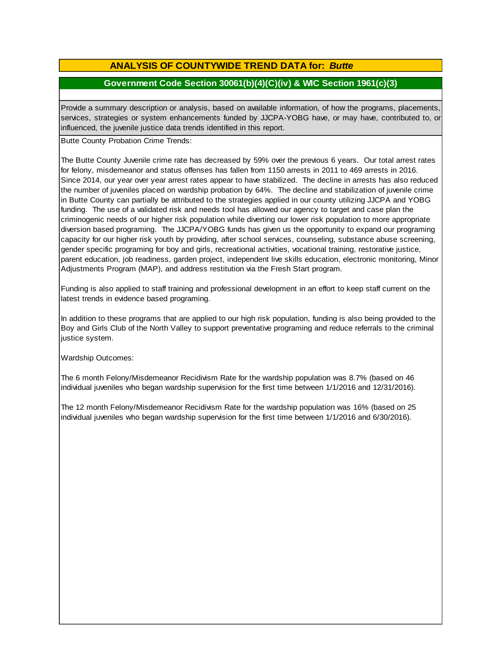## **ANALYSIS OF COUNTYWIDE TREND DATA for:** *Butte*

### **Government Code Section 30061(b)(4)(C)(iv) & WIC Section 1961(c)(3)**

Provide <sup>a</sup> summary description or analysis, based on available information, of how the programs, placements, services, strategies or system enhancements funded by JJCPA-YOBG have, or may have, contributed to, or influenced, the juvenile justice data trends identified in this report.

Butte County Probation Crime Trends:

The Butte County Juvenile crime rate has decreased by 59% over the previous 6 years. Our total arrest rates for felony, misdemeanor and status offenses has fallen from 1150 arrests in 2011 to 469 arrests in 2016. Since 2014, our year over year arrest rates appear to have stabilized. The decline in arrests has also reduced the number of juveniles placed on wardship probation by 64%. The decline and stabilization of juvenile crime in Butte County can partially be attributed to the strategies applied in our county utilizing JJCPA and YOBG funding. The use of a validated risk and needs tool has allowed our agency to target and case plan the criminogenic needs of our higher risk population while diverting our lower risk population to more appropriate diversion based programing. The JJCPA/YOBG funds has given us the opportunity to expand our programing capacity for our higher risk youth by providing, after school services, counseling, substance abuse screening, gender specific programing for boy and girls, recreational activities, vocational training, restorative justice, parent education, job readiness, garden project, independent live skills education, electronic monitoring, Minor Adjustments Program (MAP), and address restitution via the Fresh Start program.

Funding is also applied to staff training and professional development in an effort to keep staff current on the latest trends in evidence based programing.

In addition to these programs that are applied to our high risk population, funding is also being provided to the Boy and Girls Club of the North Valley to support preventative programing and reduce referrals to the criminal justice system.

Wardship Outcomes:

The 6 month Felony/Misdemeanor Recidivism Rate for the wardship population was 8.7% (based on 46 individual juveniles who began wardship supervision for the first time between 1/1/2016 and 12/31/2016).

The 12 month Felony/Misdemeanor Recidivism Rate for the wardship population was 16% (based on 25 individual juveniles who began wardship supervision for the first time between 1/1/2016 and 6/30/2016).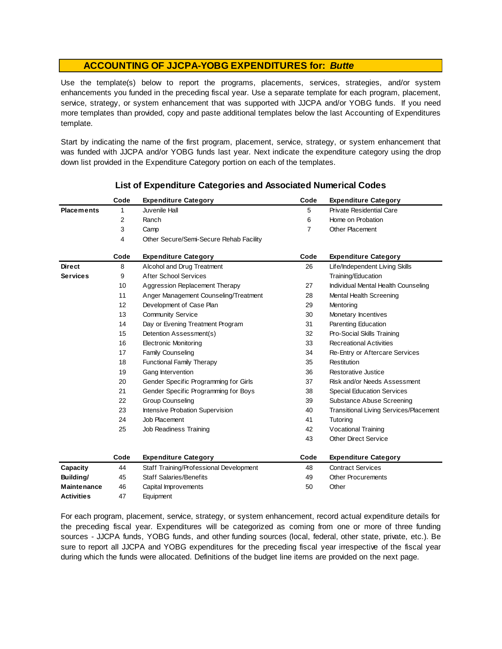Use the template(s) below to report the programs, placements, services, strategies, and/or system enhancements you funded in the preceding fiscal year. Use <sup>a</sup> separate template for each program, placement, service, strategy, or system enhancement that was supported with JJCPA and/or YOBG funds. If you need more templates than provided, copy and paste additional templates below the last Accounting of Expenditures template.

Start by indicating the name of the first program, placement, service, strategy, or system enhancement that was funded with JJCPA and/or YOBG funds last year. Next indicate the expenditure category using the drop down list provided in the Expenditure Category portion on each of the templates.

|                    | Code | <b>Expenditure Category</b>             | Code | <b>Expenditure Category</b>                   |
|--------------------|------|-----------------------------------------|------|-----------------------------------------------|
| <b>Placements</b>  | 1    | Juvenile Hall                           | 5    | <b>Private Residential Care</b>               |
|                    | 2    | Ranch                                   | 6    | Home on Probation                             |
|                    | 3    | Camp                                    | 7    | Other Placement                               |
|                    | 4    | Other Secure/Semi-Secure Rehab Facility |      |                                               |
|                    | Code | <b>Expenditure Category</b>             | Code | <b>Expenditure Category</b>                   |
| <b>Direct</b>      | 8    | Alcohol and Drug Treatment              | 26   | Life/Independent Living Skills                |
| <b>Services</b>    | 9    | <b>After School Services</b>            |      | Training/Education                            |
|                    | 10   | Aggression Replacement Therapy          | 27   | Individual Mental Health Counseling           |
|                    | 11   | Anger Management Counseling/Treatment   | 28   | Mental Health Screening                       |
|                    | 12   | Development of Case Plan                | 29   | Mentoring                                     |
|                    | 13   | <b>Community Service</b>                | 30   | Monetary Incentives                           |
|                    | 14   | Day or Evening Treatment Program        | 31   | Parenting Education                           |
|                    | 15   | Detention Assessment(s)                 | 32   | Pro-Social Skills Training                    |
|                    | 16   | <b>Electronic Monitoring</b>            | 33   | <b>Recreational Activities</b>                |
|                    | 17   | Family Counseling                       | 34   | Re-Entry or Aftercare Services                |
|                    | 18   | <b>Functional Family Therapy</b>        | 35   | Restitution                                   |
|                    | 19   | Gang Intervention                       | 36   | Restorative Justice                           |
|                    | 20   | Gender Specific Programming for Girls   | 37   | Risk and/or Needs Assessment                  |
|                    | 21   | Gender Specific Programming for Boys    | 38   | <b>Special Education Services</b>             |
|                    | 22   | <b>Group Counseling</b>                 | 39   | Substance Abuse Screening                     |
|                    | 23   | Intensive Probation Supervision         | 40   | <b>Transitional Living Services/Placement</b> |
|                    | 24   | Job Placement                           | 41   | Tutoring                                      |
|                    | 25   | Job Readiness Training                  | 42   | <b>Vocational Training</b>                    |
|                    |      |                                         | 43   | <b>Other Direct Service</b>                   |
|                    | Code | <b>Expenditure Category</b>             | Code | <b>Expenditure Category</b>                   |
| Capacity           | 44   | Staff Training/Professional Development | 48   | <b>Contract Services</b>                      |
| Building/          | 45   | <b>Staff Salaries/Benefits</b>          | 49   | <b>Other Procurements</b>                     |
| <b>Maintenance</b> | 46   | Capital Improvements                    | 50   | Other                                         |
| Activities         | 47   | Equipment                               |      |                                               |

### **List of Expenditure Categories and Associated Numerical Codes**

For each program, placement, service, strategy, or system enhancement, record actual expenditure details for the preceding fiscal year. Expenditures will be categorized as coming from one or more of three funding sources - JJCPA funds, YOBG funds, and other funding sources (local, federal, other state, private, etc.). Be sure to report all JJCPA and YOBG expenditures for the preceding fiscal year irrespective of the fiscal year during which the funds were allocated. Definitions of the budget line items are provided on the next page.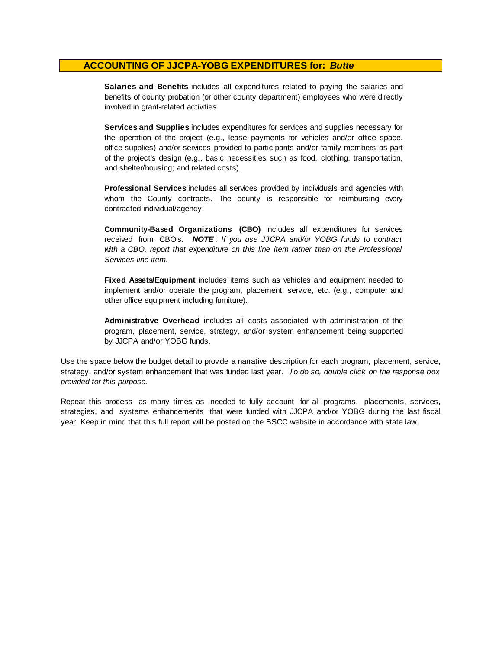**Salaries and Benefits** includes all expenditures related to paying the salaries and benefits of county probation (or other county department) employees who were directly involved in grant-related activities.

**Services and Supplies** includes expenditures for services and supplies necessary for the operation of the project (e.g., lease payments for vehicles and/or office space, office supplies) and/or services provided to participants and/or family members as part of the project's design (e.g., basic necessities such as food, clothing, transportation, and shelter/housing; and related costs).

**Professional Services** includes all services provided by individuals and agencies with whom the County contracts. The county is responsible for reimbursing every contracted individual/agency.

**Community-Based Organizations (CBO)** includes all expenditures for services received from CBO's. *NOTE* : *I f you use JJCPA and/or YOBG funds t o contract with <sup>a</sup> CBO, report that expenditure on this line item rather than on the Professional Services line item.*

**Fixed Assets/Equipment** includes items such as vehicles and equipment needed to implement and/or operate the program, placement, service, etc. (e.g., computer and other office equipment including furniture).

**Administrative Overhead** includes all costs associated with administration of the program, placement, service, strategy, and/or system enhancement being supported by JJCPA and/or YOBG funds.

Use the space below the budget detail to provide a narrative description for each program, placement, service, strategy, and/or system enhancement that was funded last year. *To do so, double click on the response box provided for this purpose.* 

Repeat this process as many times as needed to fully account for all programs, placements, services, strategies, and systems enhancements that were funded with JJCPA and/or YOBG during the last fiscal year. Keep in mind that this full report will be posted on the BSCC website in accordance with state law.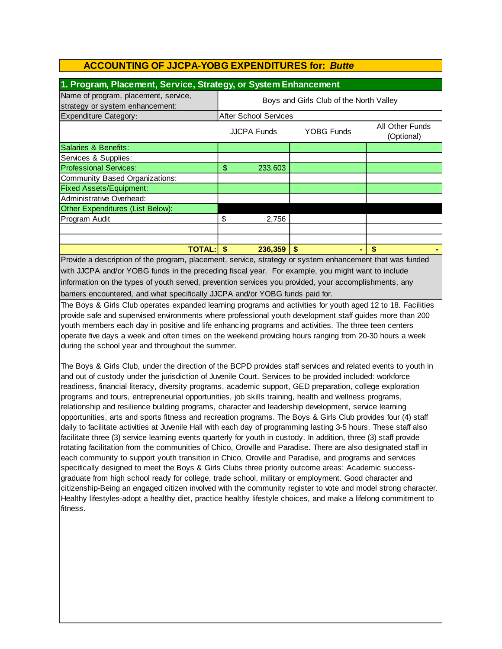| 1. Program, Placement, Service, Strategy, or System Enhancement |                                                                          |                              |    |   |  |  |
|-----------------------------------------------------------------|--------------------------------------------------------------------------|------------------------------|----|---|--|--|
| Name of program, placement, service,                            | Boys and Girls Club of the North Valley                                  |                              |    |   |  |  |
| strategy or system enhancement:                                 |                                                                          |                              |    |   |  |  |
| <b>Expenditure Category:</b>                                    |                                                                          | <b>After School Services</b> |    |   |  |  |
|                                                                 | All Other Funds<br><b>YOBG Funds</b><br><b>JJCPA Funds</b><br>(Optional) |                              |    |   |  |  |
| Salaries & Benefits:                                            |                                                                          |                              |    |   |  |  |
| Services & Supplies:                                            |                                                                          |                              |    |   |  |  |
| <b>Professional Services:</b>                                   | \$                                                                       | 233,603                      |    |   |  |  |
| Community Based Organizations:                                  |                                                                          |                              |    |   |  |  |
| <b>Fixed Assets/Equipment:</b>                                  |                                                                          |                              |    |   |  |  |
| Administrative Overhead:                                        |                                                                          |                              |    |   |  |  |
| Other Expenditures (List Below):                                |                                                                          |                              |    |   |  |  |
| Program Audit                                                   | \$                                                                       | 2,756                        |    |   |  |  |
|                                                                 |                                                                          |                              |    |   |  |  |
|                                                                 |                                                                          |                              |    |   |  |  |
| <b>TOTAL:</b> I                                                 | S                                                                        | 236,359                      | Ŝ. | S |  |  |

Provide a description of the program, placement, service, strategy or system enhancement that was funded with JJCPA and/or YOBG funds in the preceding fiscal year. For example, you might want to include information on the types of youth served, prevention services you provided, your accomplishments, any barriers encountered, and what specifically JJCPA and/or YOBG funds paid for.

The Boys & Girls Club operates expanded learning programs and activities for youth aged 12 to 18. Facilities provide safe and supervised environments where professional youth development staff guides more than 200 youth members each day in positive and life enhancing programs and activities. The three teen centers operate five days a week and often times on the weekend providing hours ranging from 20-30 hours a week during the school year and throughout the summer.

The Boys & Girls Club, under the direction of the BCPD provides staff services and related events to youth in and out of custody under the jurisdiction of Juvenile Court. Services to be provided included: workforce readiness, financial literacy, diversity programs, academic support, GED preparation, college exploration programs and tours, entrepreneurial opportunities, job skills training, health and wellness programs, relationship and resilience building programs, character and leadership development, service learning opportunities, arts and sports fitness and recreation programs. The Boys & Girls Club provides four (4) staff daily to facilitate activities at Juvenile Hall with each day of programming lasting 3-5 hours. These staff also facilitate three (3) service learning events quarterly for youth in custody. In addition, three (3) staff provide rotating facilitation from the communities of Chico, Oroville and Paradise. There are also designated staff in each community to support youth transition in Chico, Oroville and Paradise, and programs and services specifically designed to meet the Boys & Girls Clubs three priority outcome areas: Academic successgraduate from high school ready for college, trade school, military or employment. Good character and citizenship-Being an engaged citizen involved with the community register to vote and model strong character. Healthy lifestyles-adopt a healthy diet, practice healthy lifestyle choices, and make a lifelong commitment to fitness.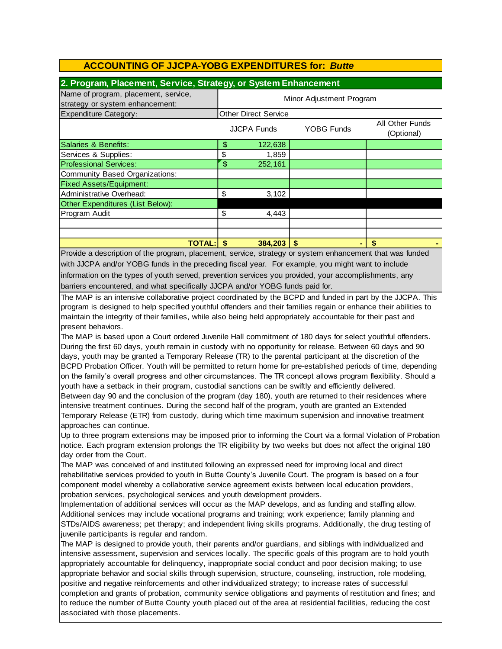| 2. Program, Placement, Service, Strategy, or System Enhancement |                             |                    |                                              |  |  |  |
|-----------------------------------------------------------------|-----------------------------|--------------------|----------------------------------------------|--|--|--|
| Minor Adjustment Program                                        |                             |                    |                                              |  |  |  |
|                                                                 | <b>Other Direct Service</b> |                    |                                              |  |  |  |
|                                                                 |                             | <b>YOBG Funds</b>  | All Other Funds<br>(Optional)                |  |  |  |
| \$                                                              | 122,638                     |                    |                                              |  |  |  |
| \$                                                              | 1,859                       |                    |                                              |  |  |  |
| \$                                                              | 252,161                     |                    |                                              |  |  |  |
|                                                                 |                             |                    |                                              |  |  |  |
|                                                                 |                             |                    |                                              |  |  |  |
| \$                                                              | 3,102                       |                    |                                              |  |  |  |
|                                                                 |                             |                    |                                              |  |  |  |
| \$                                                              | 4,443                       |                    |                                              |  |  |  |
|                                                                 |                             |                    |                                              |  |  |  |
|                                                                 |                             |                    |                                              |  |  |  |
|                                                                 | 384,203                     |                    | \$<br>المتحلم معانية المتحدد بالمحافلة بالمت |  |  |  |
|                                                                 | <b>TOTAL: \$</b>            | <b>JJCPA Funds</b> |                                              |  |  |  |

information on the types of youth served, prevention services you provided, your accomplishments, any barriers encountered, and what specifically JJCPA and/or YOBG funds paid for. Provide a description of the program, placement, service, strategy or system enhancement that was funded with JJCPA and/or YOBG funds in the preceding fiscal year. For example, you might want to include

The MAP is an intensive collaborative project coordinated by the BCPD and funded in part by the JJCPA. This program is designed to help specified youthful offenders and their families regain or enhance their abilities to maintain the integrity of their families, while also being held appropriately accountable for their past and present behaviors.

The MAP is based upon a Court ordered Juvenile Hall commitment of 180 days for select youthful offenders. During the first 60 days, youth remain in custody with no opportunity for release. Between 60 days and 90 days, youth may be granted a Temporary Release (TR) to the parental participant at the discretion of the BCPD Probation Officer. Youth will be permitted to return home for pre-established periods of time, depending on the family's overall progress and other circumstances. The TR concept allows program flexibility. Should a youth have a setback in their program, custodial sanctions can be swiftly and efficiently delivered.

Between day 90 and the conclusion of the program (day 180), youth are returned to their residences where intensive treatment continues. During the second half of the program, youth are granted an Extended Temporary Release (ETR) from custody, during which time maximum supervision and innovative treatment approaches can continue.

Up to three program extensions may be imposed prior to informing the Court via a formal Violation of Probation notice. Each program extension prolongs the TR eligibility by two weeks but does not affect the original 180 day order from the Court.

The MAP was conceived of and instituted following an expressed need for improving local and direct rehabilitative services provided to youth in Butte County's Juvenile Court. The program is based on a four component model whereby a collaborative service agreement exists between local education providers, probation services, psychological services and youth development providers.

Implementation of additional services will occur as the MAP develops, and as funding and staffing allow. Additional services may include vocational programs and training; work experience; family planning and STDs/AIDS awareness; pet therapy; and independent living skills programs. Additionally, the drug testing of juvenile participants is regular and random.

The MAP is designed to provide youth, their parents and/or guardians, and siblings with individualized and intensive assessment, supervision and services locally. The specific goals of this program are to hold youth appropriately accountable for delinquency, inappropriate social conduct and poor decision making; to use appropriate behavior and social skills through supervision, structure, counseling, instruction, role modeling, positive and negative reinforcements and other individualized strategy; to increase rates of successful completion and grants of probation, community service obligations and payments of restitution and fines; and to reduce the number of Butte County youth placed out of the area at residential facilities, reducing the cost associated with those placements.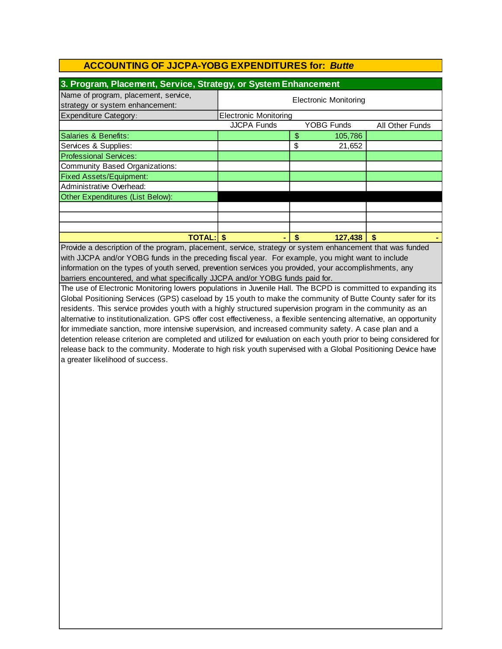| 3. Program, Placement, Service, Strategy, or System Enhancement         |                       |    |                   |                 |  |
|-------------------------------------------------------------------------|-----------------------|----|-------------------|-----------------|--|
| Name of program, placement, service,<br>strategy or system enhancement: | Electronic Monitoring |    |                   |                 |  |
| <b>Expenditure Category:</b>                                            | Electronic Monitoring |    |                   |                 |  |
|                                                                         | <b>JJCPA Funds</b>    |    | <b>YOBG Funds</b> | All Other Funds |  |
| Salaries & Benefits:                                                    |                       | \$ | 105,786           |                 |  |
| Services & Supplies:                                                    |                       | \$ | 21,652            |                 |  |
| <b>Professional Services:</b>                                           |                       |    |                   |                 |  |
| Community Based Organizations:                                          |                       |    |                   |                 |  |
| <b>Fixed Assets/Equipment:</b>                                          |                       |    |                   |                 |  |
| Administrative Overhead:                                                |                       |    |                   |                 |  |
| Other Expenditures (List Below):                                        |                       |    |                   |                 |  |
|                                                                         |                       |    |                   |                 |  |
|                                                                         |                       |    |                   |                 |  |
|                                                                         |                       |    |                   |                 |  |
| <b>TOTAL: S</b>                                                         |                       | S  | 127,438           | S               |  |

Provide a description of the program, placement, service, strategy or system enhancement that was funded with JJCPA and/or YOBG funds in the preceding fiscal year. For example, you might want to include barriers encountered, and what specifically JJCPA and/or YOBG funds paid for. information on the types of youth served, prevention services you provided, your accomplishments, any

The use of Electronic Monitoring lowers populations in Juvenile Hall. The BCPD is committed to expanding its Global Positioning Services (GPS) caseload by 15 youth to make the community of Butte County safer for its residents. This service provides youth with a highly structured supervision program in the community as an alternative to institutionalization. GPS offer cost effectiveness, a flexible sentencing alternative, an opportunity for immediate sanction, more intensive supervision, and increased community safety. A case plan and a detention release criterion are completed and utilized for evaluation on each youth prior to being considered for release back to the community. Moderate to high risk youth supervised with a Global Positioning Device have a greater likelihood of success.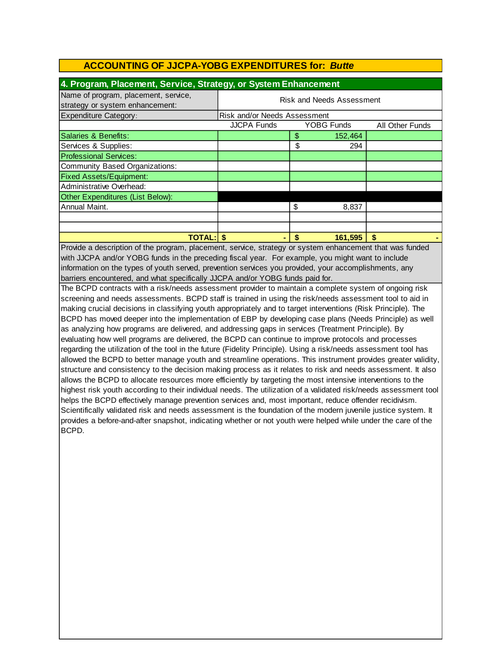| 4. Program, Placement, Service, Strategy, or System Enhancement         |                                  |    |                   |                 |  |
|-------------------------------------------------------------------------|----------------------------------|----|-------------------|-----------------|--|
| Name of program, placement, service,<br>strategy or system enhancement: | <b>Risk and Needs Assessment</b> |    |                   |                 |  |
| Expenditure Category:                                                   | Risk and/or Needs Assessment     |    |                   |                 |  |
|                                                                         | <b>JJCPA Funds</b>               |    | <b>YOBG Funds</b> | All Other Funds |  |
| Salaries & Benefits:                                                    |                                  | \$ | 152,464           |                 |  |
| Services & Supplies:                                                    |                                  | \$ | 294               |                 |  |
| <b>Professional Services:</b>                                           |                                  |    |                   |                 |  |
| Community Based Organizations:                                          |                                  |    |                   |                 |  |
| <b>Fixed Assets/Equipment:</b>                                          |                                  |    |                   |                 |  |
| Administrative Overhead:                                                |                                  |    |                   |                 |  |
| Other Expenditures (List Below):                                        |                                  |    |                   |                 |  |
| Annual Maint.                                                           |                                  | \$ | 8,837             |                 |  |
|                                                                         |                                  |    |                   |                 |  |
|                                                                         |                                  |    |                   |                 |  |
| <b>TOTAL: S</b>                                                         |                                  | S  | 161.595           | S               |  |

Provide a description of the program, placement, service, strategy or system enhancement that was funded with JJCPA and/or YOBG funds in the preceding fiscal year. For example, you might want to include information on the types of youth served, prevention services you provided, your accomplishments, any barriers encountered, and what specifically JJCPA and/or YOBG funds paid for.

The BCPD contracts with a risk/needs assessment provider to maintain a complete system of ongoing risk screening and needs assessments. BCPD staff is trained in using the risk/needs assessment tool to aid in making crucial decisions in classifying youth appropriately and to target interventions (Risk Principle). The BCPD has moved deeper into the implementation of EBP by developing case plans (Needs Principle) as well as analyzing how programs are delivered, and addressing gaps in services (Treatment Principle). By evaluating how well programs are delivered, the BCPD can continue to improve protocols and processes regarding the utilization of the tool in the future (Fidelity Principle). Using a risk/needs assessment tool has allowed the BCPD to better manage youth and streamline operations. This instrument provides greater validity, structure and consistency to the decision making process as it relates to risk and needs assessment. It also allows the BCPD to allocate resources more efficiently by targeting the most intensive interventions to the highest risk youth according to their individual needs. The utilization of a validated risk/needs assessment tool helps the BCPD effectively manage prevention services and, most important, reduce offender recidivism. Scientifically validated risk and needs assessment is the foundation of the modern juvenile justice system. It provides a before-and-after snapshot, indicating whether or not youth were helped while under the care of the BCPD.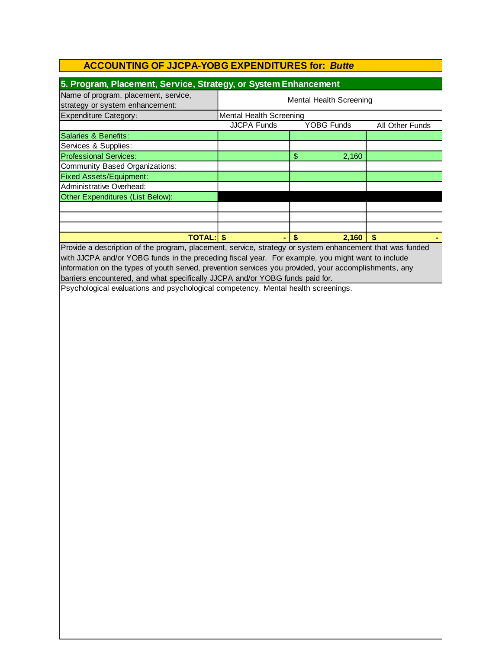| 5. Program, Placement, Service, Strategy, or System Enhancement         |                                |                   |                 |  |  |
|-------------------------------------------------------------------------|--------------------------------|-------------------|-----------------|--|--|
| Name of program, placement, service,<br>strategy or system enhancement: | <b>Mental Health Screening</b> |                   |                 |  |  |
| <b>Expenditure Category:</b>                                            | Mental Health Screening        |                   |                 |  |  |
|                                                                         | <b>JJCPA Funds</b>             | <b>YOBG Funds</b> | All Other Funds |  |  |
| Salaries & Benefits:                                                    |                                |                   |                 |  |  |
| Services & Supplies:                                                    |                                |                   |                 |  |  |
| <b>Professional Services:</b>                                           |                                | \$<br>2,160       |                 |  |  |
| Community Based Organizations:                                          |                                |                   |                 |  |  |
| <b>Fixed Assets/Equipment:</b>                                          |                                |                   |                 |  |  |
| Administrative Overhead:                                                |                                |                   |                 |  |  |
| Other Expenditures (List Below):                                        |                                |                   |                 |  |  |
|                                                                         |                                |                   |                 |  |  |
|                                                                         |                                |                   |                 |  |  |
|                                                                         |                                |                   |                 |  |  |
| <b>TOTAL: \$</b>                                                        |                                | 2.160<br>S        | S               |  |  |

with JJCPA and/or YOBG funds in the preceding fiscal year. For example, you might want to include information on the types of youth served, prevention services you provided, your accomplishments, any barriers encountered, and what specifically JJCPA and/or YOBG funds paid for. Provide a description of the program, placement, service, strategy or system enhancement that was funded

Psychological evaluations and psychological competency. Mental health screenings.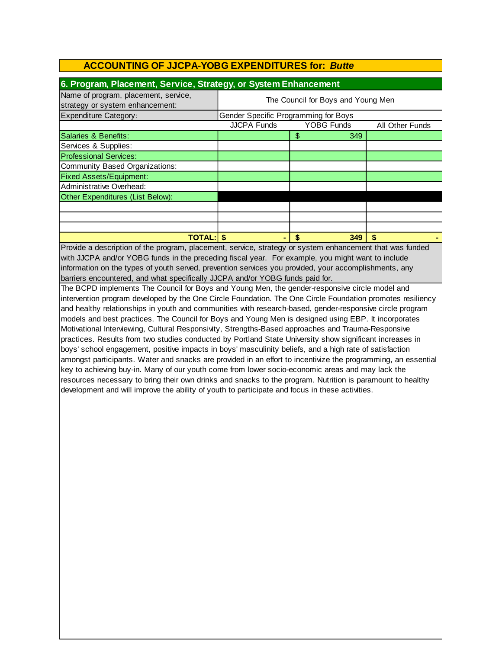| 6. Program, Placement, Service, Strategy, or System Enhancement         |                                      |            |                        |  |
|-------------------------------------------------------------------------|--------------------------------------|------------|------------------------|--|
| Name of program, placement, service,<br>strategy or system enhancement: | The Council for Boys and Young Men   |            |                        |  |
| <b>Expenditure Category:</b>                                            | Gender Specific Programming for Boys |            |                        |  |
|                                                                         | <b>JJCPA Funds</b>                   | YOBG Funds | <b>All Other Funds</b> |  |
| Salaries & Benefits:                                                    |                                      | \$<br>349  |                        |  |
| Services & Supplies:                                                    |                                      |            |                        |  |
| <b>Professional Services:</b>                                           |                                      |            |                        |  |
| Community Based Organizations:                                          |                                      |            |                        |  |
| <b>Fixed Assets/Equipment:</b>                                          |                                      |            |                        |  |
| Administrative Overhead:                                                |                                      |            |                        |  |
| Other Expenditures (List Below):                                        |                                      |            |                        |  |
|                                                                         |                                      |            |                        |  |
|                                                                         |                                      |            |                        |  |
|                                                                         |                                      |            |                        |  |
| <b>TOTAL: S</b>                                                         |                                      | S<br>349   | S                      |  |

Provide a description of the program, placement, service, strategy or system enhancement that was funded with JJCPA and/or YOBG funds in the preceding fiscal year. For example, you might want to include information on the types of youth served, prevention services you provided, your accomplishments, any barriers encountered, and what specifically JJCPA and/or YOBG funds paid for.

The BCPD implements The Council for Boys and Young Men, the gender-responsive circle model and intervention program developed by the One Circle Foundation. The One Circle Foundation promotes resiliency and healthy relationships in youth and communities with research-based, gender-responsive circle program models and best practices. The Council for Boys and Young Men is designed using EBP. It incorporates Motivational Interviewing, Cultural Responsivity, Strengths-Based approaches and Trauma-Responsive practices. Results from two studies conducted by Portland State University show significant increases in boys' school engagement, positive impacts in boys' masculinity beliefs, and a high rate of satisfaction amongst participants. Water and snacks are provided in an effort to incentivize the programming, an essential key to achieving buy-in. Many of our youth come from lower socio-economic areas and may lack the resources necessary to bring their own drinks and snacks to the program. Nutrition is paramount to healthy development and will improve the ability of youth to participate and focus in these activities.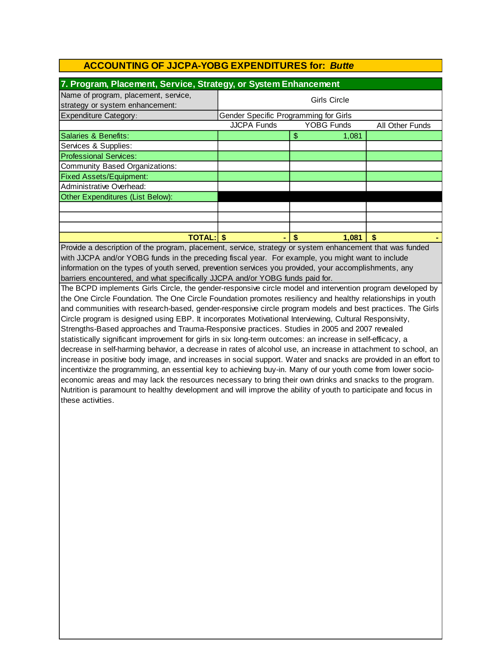| 7. Program, Placement, Service, Strategy, or System Enhancement         |                                       |                   |                 |  |
|-------------------------------------------------------------------------|---------------------------------------|-------------------|-----------------|--|
| Name of program, placement, service,<br>strategy or system enhancement: | <b>Girls Circle</b>                   |                   |                 |  |
| <b>Expenditure Category:</b>                                            | Gender Specific Programming for Girls |                   |                 |  |
|                                                                         | <b>JJCPA Funds</b>                    | <b>YOBG Funds</b> | All Other Funds |  |
| Salaries & Benefits:                                                    |                                       | \$<br>1,081       |                 |  |
| Services & Supplies:                                                    |                                       |                   |                 |  |
| <b>Professional Services:</b>                                           |                                       |                   |                 |  |
| Community Based Organizations:                                          |                                       |                   |                 |  |
| <b>Fixed Assets/Equipment:</b>                                          |                                       |                   |                 |  |
| Administrative Overhead:                                                |                                       |                   |                 |  |
| Other Expenditures (List Below):                                        |                                       |                   |                 |  |
|                                                                         |                                       |                   |                 |  |
|                                                                         |                                       |                   |                 |  |
|                                                                         |                                       |                   |                 |  |
| <b>TOTAL: \$</b>                                                        |                                       | 1,081             | S               |  |

Provide a description of the program, placement, service, strategy or system enhancement that was funded with JJCPA and/or YOBG funds in the preceding fiscal year. For example, you might want to include information on the types of youth served, prevention services you provided, your accomplishments, any barriers encountered, and what specifically JJCPA and/or YOBG funds paid for.

The BCPD implements Girls Circle, the gender-responsive circle model and intervention program developed by the One Circle Foundation. The One Circle Foundation promotes resiliency and healthy relationships in youth and communities with research-based, gender-responsive circle program models and best practices. The Girls Circle program is designed using EBP. It incorporates Motivational Interviewing, Cultural Responsivity, Strengths-Based approaches and Trauma-Responsive practices. Studies in 2005 and 2007 revealed statistically significant improvement for girls in six long-term outcomes: an increase in self-efficacy, a decrease in self-harming behavior, a decrease in rates of alcohol use, an increase in attachment to school, an increase in positive body image, and increases in social support. Water and snacks are provided in an effort to incentivize the programming, an essential key to achieving buy-in. Many of our youth come from lower socioeconomic areas and may lack the resources necessary to bring their own drinks and snacks to the program. Nutrition is paramount to healthy development and will improve the ability of youth to participate and focus in these activities.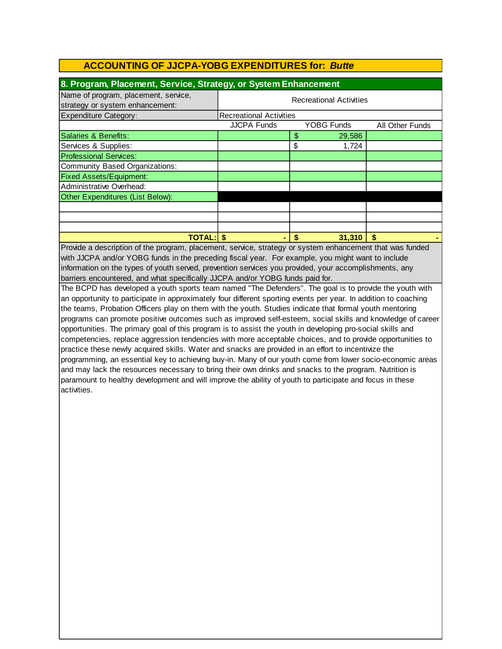| 8. Program, Placement, Service, Strategy, or System Enhancement         |                                |    |                   |                 |
|-------------------------------------------------------------------------|--------------------------------|----|-------------------|-----------------|
| Name of program, placement, service,<br>strategy or system enhancement: | <b>Recreational Activities</b> |    |                   |                 |
| <b>Expenditure Category:</b>                                            | <b>Recreational Activities</b> |    |                   |                 |
|                                                                         | <b>JJCPA Funds</b>             |    | <b>YOBG Funds</b> | All Other Funds |
| Salaries & Benefits:                                                    |                                | \$ | 29,586            |                 |
| Services & Supplies:                                                    |                                | \$ | 1,724             |                 |
| <b>Professional Services:</b>                                           |                                |    |                   |                 |
| Community Based Organizations:                                          |                                |    |                   |                 |
| <b>Fixed Assets/Equipment:</b>                                          |                                |    |                   |                 |
| Administrative Overhead:                                                |                                |    |                   |                 |
| Other Expenditures (List Below):                                        |                                |    |                   |                 |
|                                                                         |                                |    |                   |                 |
|                                                                         |                                |    |                   |                 |
|                                                                         |                                |    |                   |                 |
| <b>TOTAL:</b>                                                           |                                | S  | 31,310            | S               |

Provide a description of the program, placement, service, strategy or system enhancement that was funded with JJCPA and/or YOBG funds in the preceding fiscal year. For example, you might want to include information on the types of youth served, prevention services you provided, your accomplishments, any barriers encountered, and what specifically JJCPA and/or YOBG funds paid for.

The BCPD has developed a youth sports team named "The Defenders". The goal is to provide the youth with an opportunity to participate in approximately four different sporting events per year. In addition to coaching the teams, Probation Officers play on them with the youth. Studies indicate that formal youth mentoring programs can promote positive outcomes such as improved self-esteem, social skills and knowledge of career opportunities. The primary goal of this program is to assist the youth in developing pro-social skills and competencies, replace aggression tendencies with more acceptable choices, and to provide opportunities to practice these newly acquired skills. Water and snacks are provided in an effort to incentivize the programming, an essential key to achieving buy-in. Many of our youth come from lower socio-economic areas and may lack the resources necessary to bring their own drinks and snacks to the program. Nutrition is paramount to healthy development and will improve the ability of youth to participate and focus in these activities.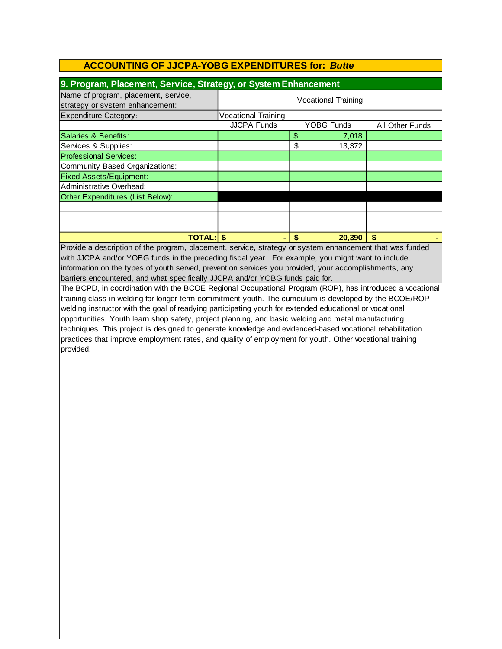| 9. Program, Placement, Service, Strategy, or System Enhancement         |                            |    |                            |                 |
|-------------------------------------------------------------------------|----------------------------|----|----------------------------|-----------------|
| Name of program, placement, service,<br>strategy or system enhancement: |                            |    | <b>Vocational Training</b> |                 |
| <b>Expenditure Category:</b>                                            | <b>Vocational Training</b> |    |                            |                 |
|                                                                         | <b>JJCPA Funds</b>         |    | <b>YOBG Funds</b>          | All Other Funds |
| Salaries & Benefits:                                                    |                            | \$ | 7,018                      |                 |
| Services & Supplies:                                                    |                            | \$ | 13,372                     |                 |
| <b>Professional Services:</b>                                           |                            |    |                            |                 |
| Community Based Organizations:                                          |                            |    |                            |                 |
| <b>Fixed Assets/Equipment:</b>                                          |                            |    |                            |                 |
| Administrative Overhead:                                                |                            |    |                            |                 |
| Other Expenditures (List Below):                                        |                            |    |                            |                 |
|                                                                         |                            |    |                            |                 |
|                                                                         |                            |    |                            |                 |
|                                                                         |                            |    |                            |                 |
| <b>TOTAL: S</b>                                                         |                            |    | 20,390                     | S               |

Provide a description of the program, placement, service, strategy or system enhancement that was funded with JJCPA and/or YOBG funds in the preceding fiscal year. For example, you might want to include information on the types of youth served, prevention services you provided, your accomplishments, any barriers encountered, and what specifically JJCPA and/or YOBG funds paid for.

The BCPD, in coordination with the BCOE Regional Occupational Program (ROP), has introduced a vocational training class in welding for longer-term commitment youth. The curriculum is developed by the BCOE/ROP welding instructor with the goal of readying participating youth for extended educational or vocational opportunities. Youth learn shop safety, project planning, and basic welding and metal manufacturing techniques. This project is designed to generate knowledge and evidenced-based vocational rehabilitation practices that improve employment rates, and quality of employment for youth. Other vocational training provided.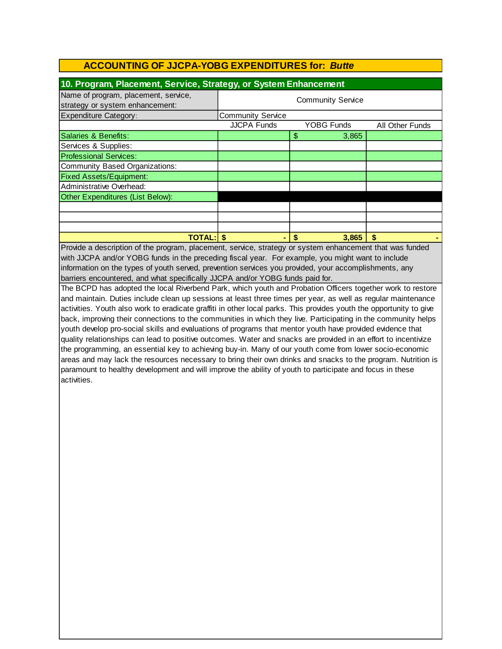| 10. Program, Placement, Service, Strategy, or System Enhancement        |                          |                          |                 |  |
|-------------------------------------------------------------------------|--------------------------|--------------------------|-----------------|--|
| Name of program, placement, service,<br>strategy or system enhancement: |                          | <b>Community Service</b> |                 |  |
| <b>Expenditure Category:</b>                                            | <b>Community Service</b> |                          |                 |  |
|                                                                         | <b>JJCPA Funds</b>       | <b>YOBG Funds</b>        | All Other Funds |  |
| Salaries & Benefits:                                                    |                          | 3,865<br>\$              |                 |  |
| Services & Supplies:                                                    |                          |                          |                 |  |
| <b>Professional Services:</b>                                           |                          |                          |                 |  |
| Community Based Organizations:                                          |                          |                          |                 |  |
| <b>Fixed Assets/Equipment:</b>                                          |                          |                          |                 |  |
| Administrative Overhead:                                                |                          |                          |                 |  |
| Other Expenditures (List Below):                                        |                          |                          |                 |  |
|                                                                         |                          |                          |                 |  |
|                                                                         |                          |                          |                 |  |
|                                                                         |                          |                          |                 |  |
| <b>TOTAL:</b>                                                           |                          | 3,865<br>S               | \$              |  |

Provide a description of the program, placement, service, strategy or system enhancement that was funded with JJCPA and/or YOBG funds in the preceding fiscal year. For example, you might want to include information on the types of youth served, prevention services you provided, your accomplishments, any barriers encountered, and what specifically JJCPA and/or YOBG funds paid for.

The BCPD has adopted the local Riverbend Park, which youth and Probation Officers together work to restore and maintain. Duties include clean up sessions at least three times per year, as well as regular maintenance activities. Youth also work to eradicate graffiti in other local parks. This provides youth the opportunity to give back, improving their connections to the communities in which they live. Participating in the community helps youth develop pro-social skills and evaluations of programs that mentor youth have provided evidence that quality relationships can lead to positive outcomes. Water and snacks are provided in an effort to incentivize the programming, an essential key to achieving buy-in. Many of our youth come from lower socio-economic areas and may lack the resources necessary to bring their own drinks and snacks to the program. Nutrition is paramount to healthy development and will improve the ability of youth to participate and focus in these activities.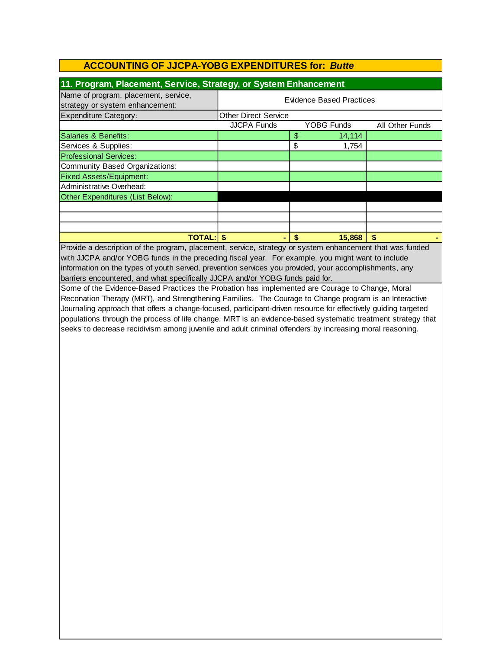| 11. Program, Placement, Service, Strategy, or System Enhancement        |                             |    |                   |                 |
|-------------------------------------------------------------------------|-----------------------------|----|-------------------|-----------------|
| Name of program, placement, service,<br>strategy or system enhancement: | Evidence Based Practices    |    |                   |                 |
| <b>Expenditure Category:</b>                                            | <b>Other Direct Service</b> |    |                   |                 |
|                                                                         | <b>JJCPA Funds</b>          |    | <b>YOBG Funds</b> | All Other Funds |
| Salaries & Benefits:                                                    |                             | \$ | 14,114            |                 |
| Services & Supplies:                                                    |                             | \$ | 1,754             |                 |
| <b>Professional Services:</b>                                           |                             |    |                   |                 |
| Community Based Organizations:                                          |                             |    |                   |                 |
| <b>Fixed Assets/Equipment:</b>                                          |                             |    |                   |                 |
| Administrative Overhead:                                                |                             |    |                   |                 |
| Other Expenditures (List Below):                                        |                             |    |                   |                 |
|                                                                         |                             |    |                   |                 |
|                                                                         |                             |    |                   |                 |
|                                                                         |                             |    |                   |                 |
| <b>TOTAL:</b> I                                                         |                             | S  | 15,868            | S               |

with JJCPA and/or YOBG funds in the preceding fiscal year. For example, you might want to include information on the types of youth served, prevention services you provided, your accomplishments, any barriers encountered, and what specifically JJCPA and/or YOBG funds paid for. Provide a description of the program, placement, service, strategy or system enhancement that was funded

Some of the Evidence-Based Practices the Probation has implemented are Courage to Change, Moral Reconation Therapy (MRT), and Strengthening Families. The Courage to Change program is an Interactive Journaling approach that offers a change-focused, participant-driven resource for effectively guiding targeted populations through the process of life change. MRT is an evidence-based systematic treatment strategy that seeks to decrease recidivism among juvenile and adult criminal offenders by increasing moral reasoning.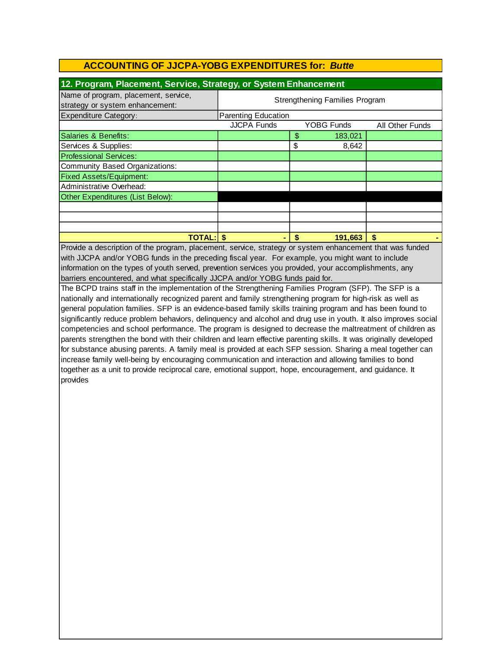| 12. Program, Placement, Service, Strategy, or System Enhancement        |                                       |    |                   |                 |
|-------------------------------------------------------------------------|---------------------------------------|----|-------------------|-----------------|
| Name of program, placement, service,<br>strategy or system enhancement: | <b>Strengthening Families Program</b> |    |                   |                 |
| Expenditure Category:                                                   | <b>Parenting Education</b>            |    |                   |                 |
|                                                                         | <b>JJCPA Funds</b>                    |    | <b>YOBG Funds</b> | All Other Funds |
| Salaries & Benefits:                                                    |                                       | \$ | 183,021           |                 |
| Services & Supplies:                                                    |                                       | \$ | 8,642             |                 |
| <b>Professional Services:</b>                                           |                                       |    |                   |                 |
| Community Based Organizations:                                          |                                       |    |                   |                 |
| <b>Fixed Assets/Equipment:</b>                                          |                                       |    |                   |                 |
| Administrative Overhead:                                                |                                       |    |                   |                 |
| Other Expenditures (List Below):                                        |                                       |    |                   |                 |
|                                                                         |                                       |    |                   |                 |
|                                                                         |                                       |    |                   |                 |
|                                                                         |                                       |    |                   |                 |
| <b>TOTAL: S</b>                                                         |                                       | S  | 191,663           | S               |

Provide a description of the program, placement, service, strategy or system enhancement that was funded with JJCPA and/or YOBG funds in the preceding fiscal year. For example, you might want to include information on the types of youth served, prevention services you provided, your accomplishments, any barriers encountered, and what specifically JJCPA and/or YOBG funds paid for.

The BCPD trains staff in the implementation of the Strengthening Families Program (SFP). The SFP is a nationally and internationally recognized parent and family strengthening program for high-risk as well as general population families. SFP is an evidence-based family skills training program and has been found to significantly reduce problem behaviors, delinquency and alcohol and drug use in youth. It also improves social competencies and school performance. The program is designed to decrease the maltreatment of children as parents strengthen the bond with their children and learn effective parenting skills. It was originally developed for substance abusing parents. A family meal is provided at each SFP session. Sharing a meal together can increase family well-being by encouraging communication and interaction and allowing families to bond together as a unit to provide reciprocal care, emotional support, hope, encouragement, and guidance. It provides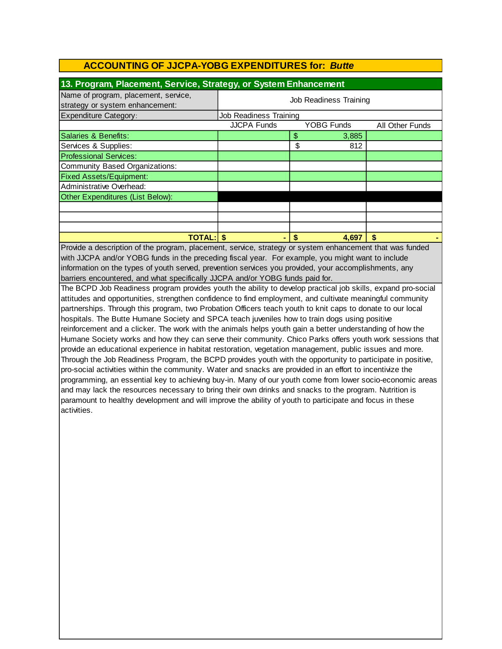| 13. Program, Placement, Service, Strategy, or System Enhancement        |                        |    |                   |                        |
|-------------------------------------------------------------------------|------------------------|----|-------------------|------------------------|
| Name of program, placement, service,<br>strategy or system enhancement: | Job Readiness Training |    |                   |                        |
| <b>Expenditure Category:</b>                                            | Job Readiness Training |    |                   |                        |
|                                                                         | <b>JJCPA Funds</b>     |    | <b>YOBG Funds</b> | <b>All Other Funds</b> |
| Salaries & Benefits:                                                    |                        | \$ | 3,885             |                        |
| Services & Supplies:                                                    |                        | \$ | 812               |                        |
| <b>Professional Services:</b>                                           |                        |    |                   |                        |
| Community Based Organizations:                                          |                        |    |                   |                        |
| <b>Fixed Assets/Equipment:</b>                                          |                        |    |                   |                        |
| Administrative Overhead:                                                |                        |    |                   |                        |
| Other Expenditures (List Below):                                        |                        |    |                   |                        |
|                                                                         |                        |    |                   |                        |
|                                                                         |                        |    |                   |                        |
|                                                                         |                        |    |                   |                        |
| <b>TOTAL: S</b>                                                         |                        |    | 4,697             | S                      |

Provide a description of the program, placement, service, strategy or system enhancement that was funded with JJCPA and/or YOBG funds in the preceding fiscal year. For example, you might want to include information on the types of youth served, prevention services you provided, your accomplishments, any barriers encountered, and what specifically JJCPA and/or YOBG funds paid for.

The BCPD Job Readiness program provides youth the ability to develop practical job skills, expand pro-social attitudes and opportunities, strengthen confidence to find employment, and cultivate meaningful community partnerships. Through this program, two Probation Officers teach youth to knit caps to donate to our local hospitals. The Butte Humane Society and SPCA teach juveniles how to train dogs using positive reinforcement and a clicker. The work with the animals helps youth gain a better understanding of how the Humane Society works and how they can serve their community. Chico Parks offers youth work sessions that provide an educational experience in habitat restoration, vegetation management, public issues and more. Through the Job Readiness Program, the BCPD provides youth with the opportunity to participate in positive, pro-social activities within the community. Water and snacks are provided in an effort to incentivize the programming, an essential key to achieving buy-in. Many of our youth come from lower socio-economic areas and may lack the resources necessary to bring their own drinks and snacks to the program. Nutrition is paramount to healthy development and will improve the ability of youth to participate and focus in these activities.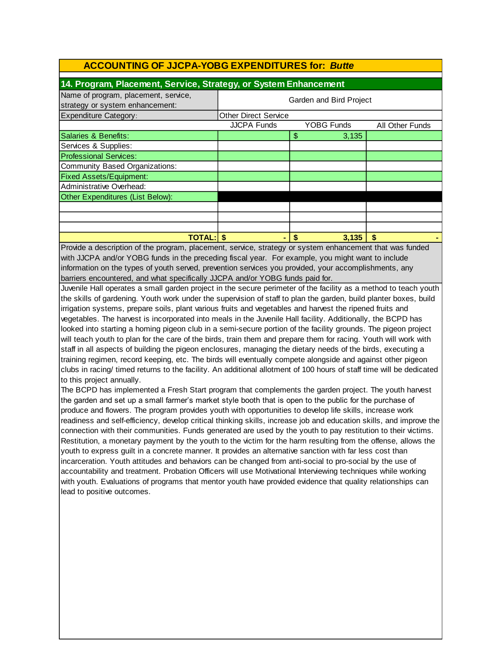# Other Expenditures (List Below): **TOTAL: \$ - \$ 3,135 \$ -** Services & Supplies: Professional Services: Community Based Organizations: Fixed Assets/Equipment: Administrative Overhead: **ACCOUNTING OF JJCPA-YOBG EXPENDITURES for:** *Butte* **14. Program, Placement, Service, Strategy, or System Enhancement** Name of program, placement, service,<br>
strategy or system enhancement:<br>
Carden and Bird Project Expenditure Category: <br>
Other Direct Service JJCPA Funds YOBG Funds All Other Funds Salaries & Benefits: \$ 3,135

Provide a description of the program, placement, service, strategy or system enhancement that was funded with JJCPA and/or YOBG funds in the preceding fiscal year. For example, you might want to include information on the types of youth served, prevention services you provided, your accomplishments, any barriers encountered, and what specifically JJCPA and/or YOBG funds paid for.

Juvenile Hall operates a small garden project in the secure perimeter of the facility as a method to teach youth the skills of gardening. Youth work under the supervision of staff to plan the garden, build planter boxes, build irrigation systems, prepare soils, plant various fruits and vegetables and harvest the ripened fruits and vegetables. The harvest is incorporated into meals in the Juvenile Hall facility. Additionally, the BCPD has looked into starting a homing pigeon club in a semi-secure portion of the facility grounds. The pigeon project will teach youth to plan for the care of the birds, train them and prepare them for racing. Youth will work with staff in all aspects of building the pigeon enclosures, managing the dietary needs of the birds, executing a training regimen, record keeping, etc. The birds will eventually compete alongside and against other pigeon clubs in racing/ timed returns to the facility. An additional allotment of 100 hours of staff time will be dedicated to this project annually.

The BCPD has implemented a Fresh Start program that complements the garden project. The youth harvest the garden and set up a small farmer's market style booth that is open to the public for the purchase of produce and flowers. The program provides youth with opportunities to develop life skills, increase work readiness and self-efficiency, develop critical thinking skills, increase job and education skills, and improve the connection with their communities. Funds generated are used by the youth to pay restitution to their victims. Restitution, a monetary payment by the youth to the victim for the harm resulting from the offense, allows the youth to express guilt in a concrete manner. It provides an alternative sanction with far less cost than incarceration. Youth attitudes and behaviors can be changed from anti-social to pro-social by the use of accountability and treatment. Probation Officers will use Motivational Interviewing techniques while working with youth. Evaluations of programs that mentor youth have provided evidence that quality relationships can lead to positive outcomes.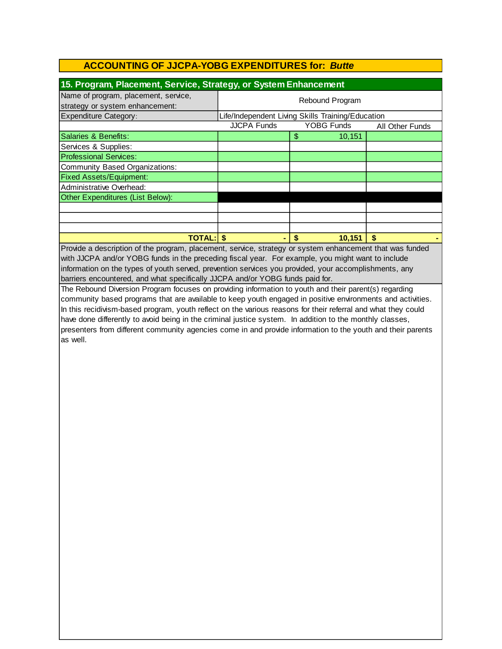| 15. Program, Placement, Service, Strategy, or System Enhancement        |                    |                                                   |                 |  |
|-------------------------------------------------------------------------|--------------------|---------------------------------------------------|-----------------|--|
| Name of program, placement, service,<br>strategy or system enhancement: | Rebound Program    |                                                   |                 |  |
| <b>Expenditure Category:</b>                                            |                    | Life/Independent Living Skills Training/Education |                 |  |
|                                                                         | <b>JJCPA Funds</b> | YOBG Funds                                        | All Other Funds |  |
| Salaries & Benefits:                                                    |                    | \$<br>10,151                                      |                 |  |
| Services & Supplies:                                                    |                    |                                                   |                 |  |
| <b>Professional Services:</b>                                           |                    |                                                   |                 |  |
| Community Based Organizations:                                          |                    |                                                   |                 |  |
| <b>Fixed Assets/Equipment:</b>                                          |                    |                                                   |                 |  |
| Administrative Overhead:                                                |                    |                                                   |                 |  |
| Other Expenditures (List Below):                                        |                    |                                                   |                 |  |
|                                                                         |                    |                                                   |                 |  |
|                                                                         |                    |                                                   |                 |  |
|                                                                         |                    |                                                   |                 |  |
| <b>TOTAL: S</b>                                                         |                    | 10,151<br>S                                       | S               |  |

with JJCPA and/or YOBG funds in the preceding fiscal year. For example, you might want to include information on the types of youth served, prevention services you provided, your accomplishments, any barriers encountered, and what specifically JJCPA and/or YOBG funds paid for. Provide a description of the program, placement, service, strategy or system enhancement that was funded

The Rebound Diversion Program focuses on providing information to youth and their parent(s) regarding community based programs that are available to keep youth engaged in positive environments and activities. In this recidivism-based program, youth reflect on the various reasons for their referral and what they could have done differently to avoid being in the criminal justice system. In addition to the monthly classes, presenters from different community agencies come in and provide information to the youth and their parents as well.